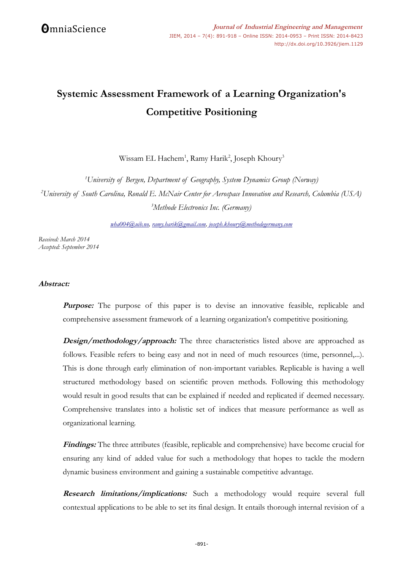# **Systemic Assessment Framework of a Learning Organization's Competitive Positioning**

Wissam EL Hachem<sup>1</sup>, Ramy Harik<sup>2</sup>, Joseph Khoury<sup>3</sup>

*<sup>1</sup>University of Bergen, Department of Geography, System Dynamics Group (Norway) <sup>2</sup>University of South Carolina, Ronald E. McNair Center for Aerospace Innovation and Research, Columbia (USA) <sup>3</sup>Methode Electronics Inc. (Germany)*

*[wha004@uib.no,](mailto:wha004@uib.no) [ramy.harik@gmail.com,](mailto:ramy.harik@gmail.com) [joseph.khoury@methodegermany.com](mailto:joseph.khoury@methodegermany.com)*

*Received: March 2014 Accepted: September 2014*

## **Abstract:**

**Purpose:** The purpose of this paper is to devise an innovative feasible, replicable and comprehensive assessment framework of a learning organization's competitive positioning.

**Design/methodology/approach:** The three characteristics listed above are approached as follows. Feasible refers to being easy and not in need of much resources (time, personnel,...). This is done through early elimination of non-important variables. Replicable is having a well structured methodology based on scientific proven methods. Following this methodology would result in good results that can be explained if needed and replicated if deemed necessary. Comprehensive translates into a holistic set of indices that measure performance as well as organizational learning.

**Findings:** The three attributes (feasible, replicable and comprehensive) have become crucial for ensuring any kind of added value for such a methodology that hopes to tackle the modern dynamic business environment and gaining a sustainable competitive advantage.

**Research limitations/implications:** Such a methodology would require several full contextual applications to be able to set its final design. It entails thorough internal revision of a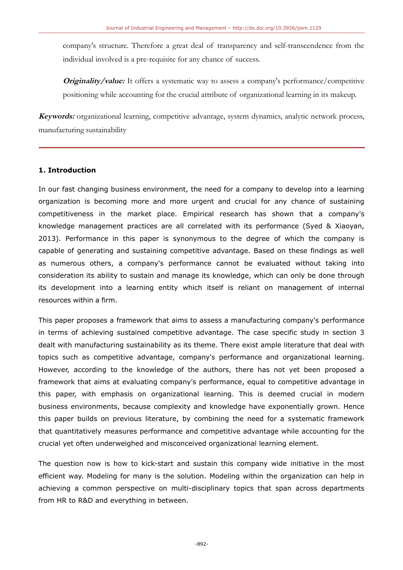company's structure. Therefore a great deal of transparency and self-transcendence from the individual involved is a pre-requisite for any chance of success.

**Originality/value:** It offers a systematic way to assess a company's performance/competitive positioning while accounting for the crucial attribute of organizational learning in its makeup.

**Keywords:** organizational learning, competitive advantage, system dynamics, analytic network process, manufacturing sustainability

## **1. Introduction**

In our fast changing business environment, the need for a company to develop into a learning organization is becoming more and more urgent and crucial for any chance of sustaining competitiveness in the market place. Empirical research has shown that a company's knowledge management practices are all correlated with its performance (Syed & Xiaoyan, 2013). Performance in this paper is synonymous to the degree of which the company is capable of generating and sustaining competitive advantage. Based on these findings as well as numerous others, a company's performance cannot be evaluated without taking into consideration its ability to sustain and manage its knowledge, which can only be done through its development into a learning entity which itself is reliant on management of internal resources within a firm.

This paper proposes a framework that aims to assess a manufacturing company's performance in terms of achieving sustained competitive advantage. The case specific study in section 3 dealt with manufacturing sustainability as its theme. There exist ample literature that deal with topics such as competitive advantage, company's performance and organizational learning. However, according to the knowledge of the authors, there has not yet been proposed a framework that aims at evaluating company's performance, equal to competitive advantage in this paper, with emphasis on organizational learning. This is deemed crucial in modern business environments, because complexity and knowledge have exponentially grown. Hence this paper builds on previous literature, by combining the need for a systematic framework that quantitatively measures performance and competitive advantage while accounting for the crucial yet often underweighed and misconceived organizational learning element.

The question now is how to kick-start and sustain this company wide initiative in the most efficient way. Modeling for many is the solution. Modeling within the organization can help in achieving a common perspective on multi-disciplinary topics that span across departments from HR to R&D and everything in between.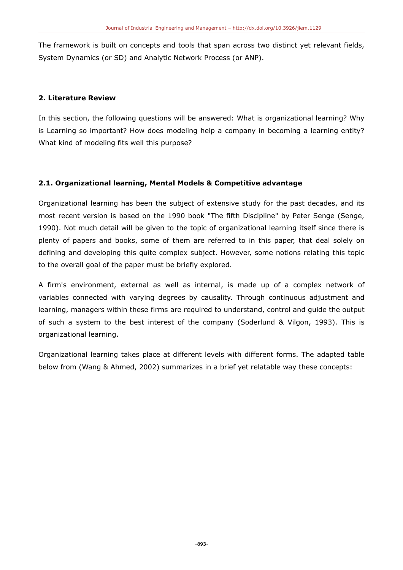The framework is built on concepts and tools that span across two distinct yet relevant fields, System Dynamics (or SD) and Analytic Network Process (or ANP).

## **2. Literature Review**

In this section, the following questions will be answered: What is organizational learning? Why is Learning so important? How does modeling help a company in becoming a learning entity? What kind of modeling fits well this purpose?

## **2.1. Organizational learning, Mental Models & Competitive advantage**

Organizational learning has been the subject of extensive study for the past decades, and its most recent version is based on the 1990 book "The fifth Discipline" by Peter Senge (Senge, 1990). Not much detail will be given to the topic of organizational learning itself since there is plenty of papers and books, some of them are referred to in this paper, that deal solely on defining and developing this quite complex subject. However, some notions relating this topic to the overall goal of the paper must be briefly explored.

A firm's environment, external as well as internal, is made up of a complex network of variables connected with varying degrees by causality. Through continuous adjustment and learning, managers within these firms are required to understand, control and guide the output of such a system to the best interest of the company (Soderlund & Vilgon, 1993). This is organizational learning.

Organizational learning takes place at different levels with different forms. The adapted table below from (Wang & Ahmed, 2002) summarizes in a brief yet relatable way these concepts: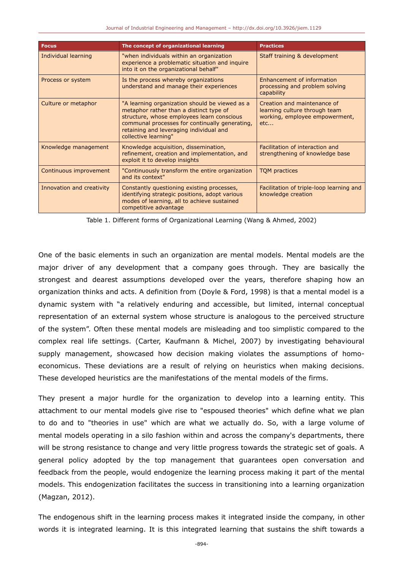| <b>Focus</b>              | The concept of organizational learning                                                                                                                                                                                                                       | <b>Practices</b>                                                                                      |
|---------------------------|--------------------------------------------------------------------------------------------------------------------------------------------------------------------------------------------------------------------------------------------------------------|-------------------------------------------------------------------------------------------------------|
| Individual learning       | "when individuals within an organization<br>experience a problematic situation and inquire<br>into it on the organizational behalf"                                                                                                                          | Staff training & development                                                                          |
| Process or system         | Is the process whereby organizations<br>understand and manage their experiences                                                                                                                                                                              | Enhancement of information<br>processing and problem solving<br>capability                            |
| Culture or metaphor       | "A learning organization should be viewed as a<br>metaphor rather than a distinct type of<br>structure, whose employees learn conscious<br>communal processes for continually generating,<br>retaining and leveraging individual and<br>collective learning" | Creation and maintenance of<br>learning culture through team<br>working, employee empowerment,<br>etc |
| Knowledge management      | Knowledge acquisition, dissemination,<br>refinement, creation and implementation, and<br>exploit it to develop insights                                                                                                                                      | Facilitation of interaction and<br>strengthening of knowledge base                                    |
| Continuous improvement    | "Continuously transform the entire organization<br>and its context"                                                                                                                                                                                          | <b>TQM</b> practices                                                                                  |
| Innovation and creativity | Constantly questioning existing processes,<br>identifying strategic positions, adopt various<br>modes of learning, all to achieve sustained<br>competitive advantage                                                                                         | Facilitation of triple-loop learning and<br>knowledge creation                                        |

Table 1. Different forms of Organizational Learning (Wang & Ahmed, 2002)

One of the basic elements in such an organization are mental models. Mental models are the major driver of any development that a company goes through. They are basically the strongest and dearest assumptions developed over the years, therefore shaping how an organization thinks and acts. A definition from (Doyle & Ford, 1998) is that a mental model is a dynamic system with "a relatively enduring and accessible, but limited, internal conceptual representation of an external system whose structure is analogous to the perceived structure of the system". Often these mental models are misleading and too simplistic compared to the complex real life settings. (Carter, Kaufmann & Michel, 2007) by investigating behavioural supply management, showcased how decision making violates the assumptions of homoeconomicus. These deviations are a result of relying on heuristics when making decisions. These developed heuristics are the manifestations of the mental models of the firms.

They present a major hurdle for the organization to develop into a learning entity. This attachment to our mental models give rise to "espoused theories" which define what we plan to do and to "theories in use" which are what we actually do. So, with a large volume of mental models operating in a silo fashion within and across the company's departments, there will be strong resistance to change and very little progress towards the strategic set of goals. A general policy adopted by the top management that guarantees open conversation and feedback from the people, would endogenize the learning process making it part of the mental models. This endogenization facilitates the success in transitioning into a learning organization (Magzan, 2012).

The endogenous shift in the learning process makes it integrated inside the company, in other words it is integrated learning. It is this integrated learning that sustains the shift towards a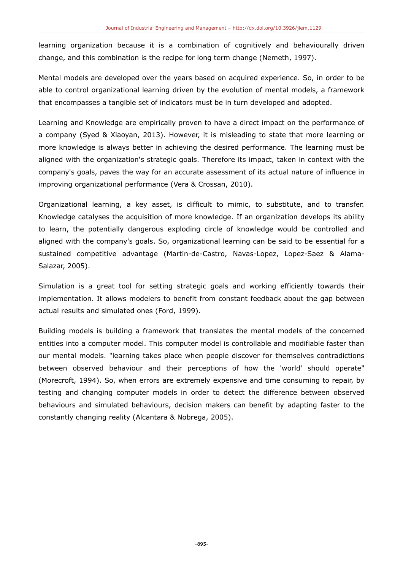learning organization because it is a combination of cognitively and behaviourally driven change, and this combination is the recipe for long term change (Nemeth, 1997).

Mental models are developed over the years based on acquired experience. So, in order to be able to control organizational learning driven by the evolution of mental models, a framework that encompasses a tangible set of indicators must be in turn developed and adopted.

Learning and Knowledge are empirically proven to have a direct impact on the performance of a company (Syed & Xiaoyan, 2013). However, it is misleading to state that more learning or more knowledge is always better in achieving the desired performance. The learning must be aligned with the organization's strategic goals. Therefore its impact, taken in context with the company's goals, paves the way for an accurate assessment of its actual nature of influence in improving organizational performance (Vera & Crossan, 2010).

Organizational learning, a key asset, is difficult to mimic, to substitute, and to transfer. Knowledge catalyses the acquisition of more knowledge. If an organization develops its ability to learn, the potentially dangerous exploding circle of knowledge would be controlled and aligned with the company's goals. So, organizational learning can be said to be essential for a sustained competitive advantage (Martin-de-Castro, Navas-Lopez, Lopez-Saez & Alama-Salazar, 2005).

Simulation is a great tool for setting strategic goals and working efficiently towards their implementation. It allows modelers to benefit from constant feedback about the gap between actual results and simulated ones (Ford, 1999).

Building models is building a framework that translates the mental models of the concerned entities into a computer model. This computer model is controllable and modifiable faster than our mental models. "learning takes place when people discover for themselves contradictions between observed behaviour and their perceptions of how the 'world' should operate" (Morecroft, 1994). So, when errors are extremely expensive and time consuming to repair, by testing and changing computer models in order to detect the difference between observed behaviours and simulated behaviours, decision makers can benefit by adapting faster to the constantly changing reality (Alcantara & Nobrega, 2005).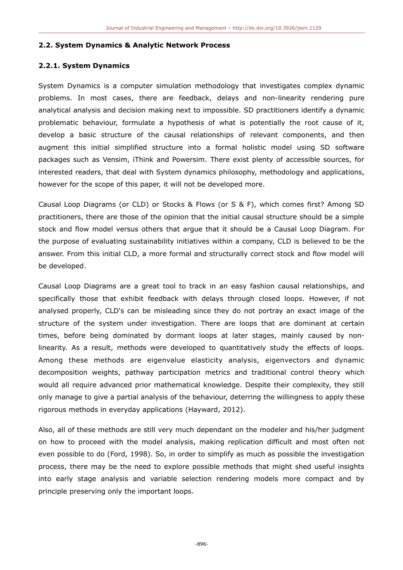#### **2.2. System Dynamics & Analytic Network Process**

#### **2.2.1. System Dynamics**

System Dynamics is a computer simulation methodology that investigates complex dynamic problems. In most cases, there are feedback, delays and non-linearity rendering pure analytical analysis and decision making next to impossible. SD practitioners identify a dynamic problematic behaviour, formulate a hypothesis of what is potentially the root cause of it, develop a basic structure of the causal relationships of relevant components, and then augment this initial simplified structure into a formal holistic model using SD software packages such as Vensim, iThink and Powersim. There exist plenty of accessible sources, for interested readers, that deal with System dynamics philosophy, methodology and applications, however for the scope of this paper, it will not be developed more.

Causal Loop Diagrams (or CLD) or Stocks & Flows (or S & F), which comes first? Among SD practitioners, there are those of the opinion that the initial causal structure should be a simple stock and flow model versus others that argue that it should be a Causal Loop Diagram. For the purpose of evaluating sustainability initiatives within a company, CLD is believed to be the answer. From this initial CLD, a more formal and structurally correct stock and flow model will be developed.

Causal Loop Diagrams are a great tool to track in an easy fashion causal relationships, and specifically those that exhibit feedback with delays through closed loops. However, if not analysed properly, CLD's can be misleading since they do not portray an exact image of the structure of the system under investigation. There are loops that are dominant at certain times, before being dominated by dormant loops at later stages, mainly caused by nonlinearity. As a result, methods were developed to quantitatively study the effects of loops. Among these methods are eigenvalue elasticity analysis, eigenvectors and dynamic decomposition weights, pathway participation metrics and traditional control theory which would all require advanced prior mathematical knowledge. Despite their complexity, they still only manage to give a partial analysis of the behaviour, deterring the willingness to apply these rigorous methods in everyday applications (Hayward, 2012).

Also, all of these methods are still very much dependant on the modeler and his/her judgment on how to proceed with the model analysis, making replication difficult and most often not even possible to do (Ford, 1998). So, in order to simplify as much as possible the investigation process, there may be the need to explore possible methods that might shed useful insights into early stage analysis and variable selection rendering models more compact and by principle preserving only the important loops.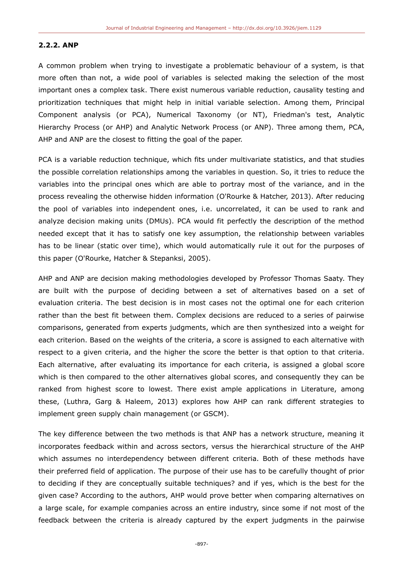#### **2.2.2. ANP**

A common problem when trying to investigate a problematic behaviour of a system, is that more often than not, a wide pool of variables is selected making the selection of the most important ones a complex task. There exist numerous variable reduction, causality testing and prioritization techniques that might help in initial variable selection. Among them, Principal Component analysis (or PCA), Numerical Taxonomy (or NT), Friedman's test, Analytic Hierarchy Process (or AHP) and Analytic Network Process (or ANP). Three among them, PCA, AHP and ANP are the closest to fitting the goal of the paper.

PCA is a variable reduction technique, which fits under multivariate statistics, and that studies the possible correlation relationships among the variables in question. So, it tries to reduce the variables into the principal ones which are able to portray most of the variance, and in the process revealing the otherwise hidden information (O'Rourke & Hatcher, 2013). After reducing the pool of variables into independent ones, i.e. uncorrelated, it can be used to rank and analyze decision making units (DMUs). PCA would fit perfectly the description of the method needed except that it has to satisfy one key assumption, the relationship between variables has to be linear (static over time), which would automatically rule it out for the purposes of this paper (O'Rourke, Hatcher & Stepanksi, 2005).

AHP and ANP are decision making methodologies developed by Professor Thomas Saaty. They are built with the purpose of deciding between a set of alternatives based on a set of evaluation criteria. The best decision is in most cases not the optimal one for each criterion rather than the best fit between them. Complex decisions are reduced to a series of pairwise comparisons, generated from experts judgments, which are then synthesized into a weight for each criterion. Based on the weights of the criteria, a score is assigned to each alternative with respect to a given criteria, and the higher the score the better is that option to that criteria. Each alternative, after evaluating its importance for each criteria, is assigned a global score which is then compared to the other alternatives global scores, and consequently they can be ranked from highest score to lowest. There exist ample applications in Literature, among these, (Luthra, Garg & Haleem, 2013) explores how AHP can rank different strategies to implement green supply chain management (or GSCM).

The key difference between the two methods is that ANP has a network structure, meaning it incorporates feedback within and across sectors, versus the hierarchical structure of the AHP which assumes no interdependency between different criteria. Both of these methods have their preferred field of application. The purpose of their use has to be carefully thought of prior to deciding if they are conceptually suitable techniques? and if yes, which is the best for the given case? According to the authors, AHP would prove better when comparing alternatives on a large scale, for example companies across an entire industry, since some if not most of the feedback between the criteria is already captured by the expert judgments in the pairwise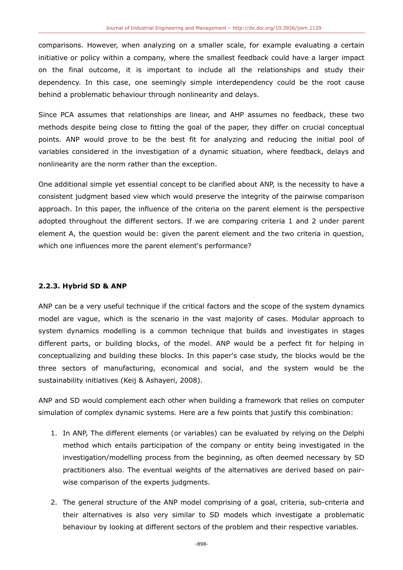comparisons. However, when analyzing on a smaller scale, for example evaluating a certain initiative or policy within a company, where the smallest feedback could have a larger impact on the final outcome, it is important to include all the relationships and study their dependency. In this case, one seemingly simple interdependency could be the root cause behind a problematic behaviour through nonlinearity and delays.

Since PCA assumes that relationships are linear, and AHP assumes no feedback, these two methods despite being close to fitting the goal of the paper, they differ on crucial conceptual points. ANP would prove to be the best fit for analyzing and reducing the initial pool of variables considered in the investigation of a dynamic situation, where feedback, delays and nonlinearity are the norm rather than the exception.

One additional simple yet essential concept to be clarified about ANP, is the necessity to have a consistent judgment based view which would preserve the integrity of the pairwise comparison approach. In this paper, the influence of the criteria on the parent element is the perspective adopted throughout the different sectors. If we are comparing criteria 1 and 2 under parent element A, the question would be: given the parent element and the two criteria in question, which one influences more the parent element's performance?

## **2.2.3. Hybrid SD & ANP**

ANP can be a very useful technique if the critical factors and the scope of the system dynamics model are vague, which is the scenario in the vast majority of cases. Modular approach to system dynamics modelling is a common technique that builds and investigates in stages different parts, or building blocks, of the model. ANP would be a perfect fit for helping in conceptualizing and building these blocks. In this paper's case study, the blocks would be the three sectors of manufacturing, economical and social, and the system would be the sustainability initiatives (Keij & Ashayeri, 2008).

ANP and SD would complement each other when building a framework that relies on computer simulation of complex dynamic systems. Here are a few points that justify this combination:

- 1. In ANP, The different elements (or variables) can be evaluated by relying on the Delphi method which entails participation of the company or entity being investigated in the investigation/modelling process from the beginning, as often deemed necessary by SD practitioners also. The eventual weights of the alternatives are derived based on pairwise comparison of the experts judgments.
- 2. The general structure of the ANP model comprising of a goal, criteria, sub-criteria and their alternatives is also very similar to SD models which investigate a problematic behaviour by looking at different sectors of the problem and their respective variables.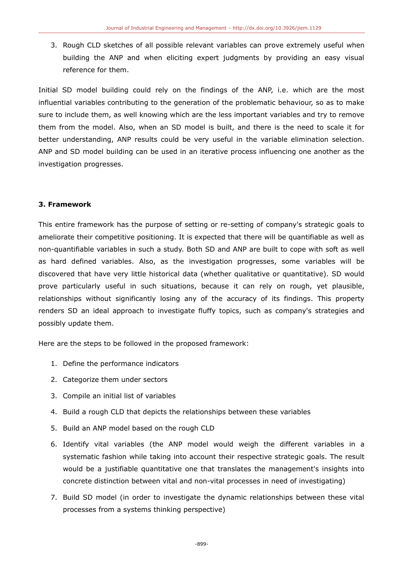3. Rough CLD sketches of all possible relevant variables can prove extremely useful when building the ANP and when eliciting expert judgments by providing an easy visual reference for them.

Initial SD model building could rely on the findings of the ANP, i.e. which are the most influential variables contributing to the generation of the problematic behaviour, so as to make sure to include them, as well knowing which are the less important variables and try to remove them from the model. Also, when an SD model is built, and there is the need to scale it for better understanding, ANP results could be very useful in the variable elimination selection. ANP and SD model building can be used in an iterative process influencing one another as the investigation progresses.

## **3. Framework**

This entire framework has the purpose of setting or re-setting of company's strategic goals to ameliorate their competitive positioning. It is expected that there will be quantifiable as well as non-quantifiable variables in such a study. Both SD and ANP are built to cope with soft as well as hard defined variables. Also, as the investigation progresses, some variables will be discovered that have very little historical data (whether qualitative or quantitative). SD would prove particularly useful in such situations, because it can rely on rough, yet plausible, relationships without significantly losing any of the accuracy of its findings. This property renders SD an ideal approach to investigate fluffy topics, such as company's strategies and possibly update them.

Here are the steps to be followed in the proposed framework:

- 1. Define the performance indicators
- 2. Categorize them under sectors
- 3. Compile an initial list of variables
- 4. Build a rough CLD that depicts the relationships between these variables
- 5. Build an ANP model based on the rough CLD
- 6. Identify vital variables (the ANP model would weigh the different variables in a systematic fashion while taking into account their respective strategic goals. The result would be a justifiable quantitative one that translates the management's insights into concrete distinction between vital and non-vital processes in need of investigating)
- 7. Build SD model (in order to investigate the dynamic relationships between these vital processes from a systems thinking perspective)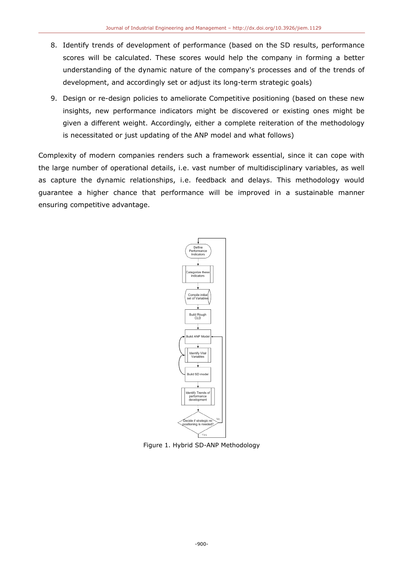- 8. Identify trends of development of performance (based on the SD results, performance scores will be calculated. These scores would help the company in forming a better understanding of the dynamic nature of the company's processes and of the trends of development, and accordingly set or adjust its long-term strategic goals)
- 9. Design or re-design policies to ameliorate Competitive positioning (based on these new insights, new performance indicators might be discovered or existing ones might be given a different weight. Accordingly, either a complete reiteration of the methodology is necessitated or just updating of the ANP model and what follows)

Complexity of modern companies renders such a framework essential, since it can cope with the large number of operational details, i.e. vast number of multidisciplinary variables, as well as capture the dynamic relationships, i.e. feedback and delays. This methodology would guarantee a higher chance that performance will be improved in a sustainable manner ensuring competitive advantage.



Figure 1. Hybrid SD-ANP Methodology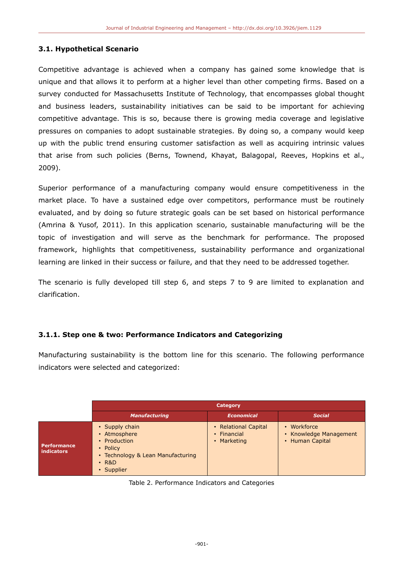## **3.1. Hypothetical Scenario**

Competitive advantage is achieved when a company has gained some knowledge that is unique and that allows it to perform at a higher level than other competing firms. Based on a survey conducted for Massachusetts Institute of Technology, that encompasses global thought and business leaders, sustainability initiatives can be said to be important for achieving competitive advantage. This is so, because there is growing media coverage and legislative pressures on companies to adopt sustainable strategies. By doing so, a company would keep up with the public trend ensuring customer satisfaction as well as acquiring intrinsic values that arise from such policies (Berns, Townend, Khayat, Balagopal, Reeves, Hopkins et al., 2009).

Superior performance of a manufacturing company would ensure competitiveness in the market place. To have a sustained edge over competitors, performance must be routinely evaluated, and by doing so future strategic goals can be set based on historical performance (Amrina & Yusof, 2011). In this application scenario, sustainable manufacturing will be the topic of investigation and will serve as the benchmark for performance. The proposed framework, highlights that competitiveness, sustainability performance and organizational learning are linked in their success or failure, and that they need to be addressed together.

The scenario is fully developed till step 6, and steps 7 to 9 are limited to explanation and clarification.

## **3.1.1. Step one & two: Performance Indicators and Categorizing**

Manufacturing sustainability is the bottom line for this scenario. The following performance indicators were selected and categorized:

|                                         | <b>Category</b>                                                                                                              |                                                    |                                                          |
|-----------------------------------------|------------------------------------------------------------------------------------------------------------------------------|----------------------------------------------------|----------------------------------------------------------|
|                                         | <b>Manufacturing</b>                                                                                                         | <b>Economical</b>                                  | <b>Social</b>                                            |
| <b>Performance</b><br><b>indicators</b> | • Supply chain<br>• Atmosphere<br>• Production<br>• Policy<br>• Technology & Lean Manufacturing<br>$\cdot$ R&D<br>• Supplier | • Relational Capital<br>• Financial<br>• Marketing | • Workforce<br>• Knowledge Management<br>• Human Capital |

Table 2. Performance Indicators and Categories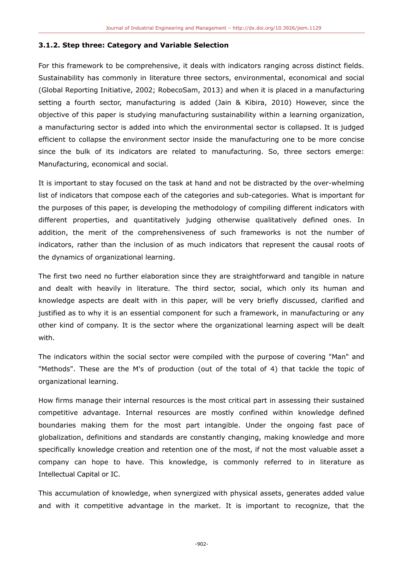#### **3.1.2. Step three: Category and Variable Selection**

For this framework to be comprehensive, it deals with indicators ranging across distinct fields. Sustainability has commonly in literature three sectors, environmental, economical and social (Global Reporting Initiative, 2002; RobecoSam, 2013) and when it is placed in a manufacturing setting a fourth sector, manufacturing is added (Jain & Kibira, 2010) However, since the objective of this paper is studying manufacturing sustainability within a learning organization, a manufacturing sector is added into which the environmental sector is collapsed. It is judged efficient to collapse the environment sector inside the manufacturing one to be more concise since the bulk of its indicators are related to manufacturing. So, three sectors emerge: Manufacturing, economical and social.

It is important to stay focused on the task at hand and not be distracted by the over-whelming list of indicators that compose each of the categories and sub-categories. What is important for the purposes of this paper, is developing the methodology of compiling different indicators with different properties, and quantitatively judging otherwise qualitatively defined ones. In addition, the merit of the comprehensiveness of such frameworks is not the number of indicators, rather than the inclusion of as much indicators that represent the causal roots of the dynamics of organizational learning.

The first two need no further elaboration since they are straightforward and tangible in nature and dealt with heavily in literature. The third sector, social, which only its human and knowledge aspects are dealt with in this paper, will be very briefly discussed, clarified and justified as to why it is an essential component for such a framework, in manufacturing or any other kind of company. It is the sector where the organizational learning aspect will be dealt with.

The indicators within the social sector were compiled with the purpose of covering "Man" and "Methods". These are the M's of production (out of the total of 4) that tackle the topic of organizational learning.

How firms manage their internal resources is the most critical part in assessing their sustained competitive advantage. Internal resources are mostly confined within knowledge defined boundaries making them for the most part intangible. Under the ongoing fast pace of globalization, definitions and standards are constantly changing, making knowledge and more specifically knowledge creation and retention one of the most, if not the most valuable asset a company can hope to have. This knowledge, is commonly referred to in literature as Intellectual Capital or IC.

This accumulation of knowledge, when synergized with physical assets, generates added value and with it competitive advantage in the market. It is important to recognize, that the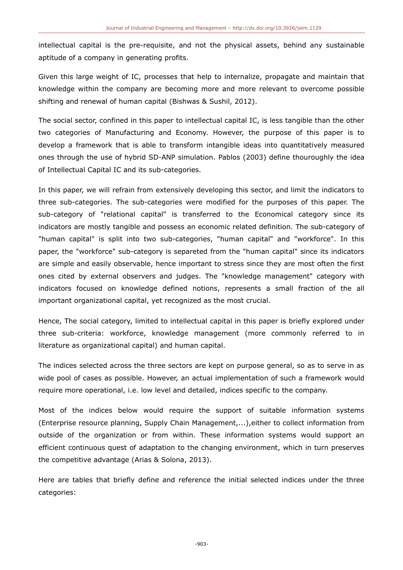intellectual capital is the pre-requisite, and not the physical assets, behind any sustainable aptitude of a company in generating profits.

Given this large weight of IC, processes that help to internalize, propagate and maintain that knowledge within the company are becoming more and more relevant to overcome possible shifting and renewal of human capital (Bishwas & Sushil, 2012).

The social sector, confined in this paper to intellectual capital IC, is less tangible than the other two categories of Manufacturing and Economy. However, the purpose of this paper is to develop a framework that is able to transform intangible ideas into quantitatively measured ones through the use of hybrid SD-ANP simulation. Pablos (2003) define thouroughly the idea of Intellectual Capital IC and its sub-categories.

In this paper, we will refrain from extensively developing this sector, and limit the indicators to three sub-categories. The sub-categories were modified for the purposes of this paper. The sub-category of "relational capital" is transferred to the Economical category since its indicators are mostly tangible and possess an economic related definition. The sub-category of "human capital" is split into two sub-categories, "human capital" and "workforce". In this paper, the "workforce" sub-category is separeted from the "human capital" since its indicators are simple and easily observable, hence important to stress since they are most often the first ones cited by external observers and judges. The "knowledge management" category with indicators focused on knowledge defined notions, represents a small fraction of the all important organizational capital, yet recognized as the most crucial.

Hence, The social category, limited to intellectual capital in this paper is briefly explored under three sub-criteria: workforce, knowledge management (more commonly referred to in literature as organizational capital) and human capital.

The indices selected across the three sectors are kept on purpose general, so as to serve in as wide pool of cases as possible. However, an actual implementation of such a framework would require more operational, i.e. low level and detailed, indices specific to the company.

Most of the indices below would require the support of suitable information systems (Enterprise resource planning, Supply Chain Management,...),either to collect information from outside of the organization or from within. These information systems would support an efficient continuous quest of adaptation to the changing environment, which in turn preserves the competitive advantage (Arias & Solona, 2013).

Here are tables that briefly define and reference the initial selected indices under the three categories: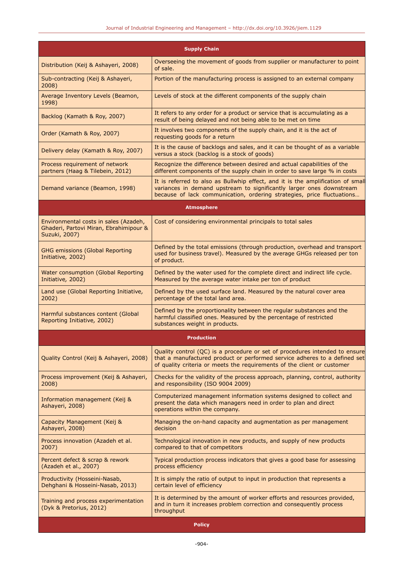| <b>Supply Chain</b>                                                                              |                                                                                                                                                                                                                                     |  |
|--------------------------------------------------------------------------------------------------|-------------------------------------------------------------------------------------------------------------------------------------------------------------------------------------------------------------------------------------|--|
| Distribution (Keij & Ashayeri, 2008)                                                             | Overseeing the movement of goods from supplier or manufacturer to point<br>of sale.                                                                                                                                                 |  |
| Sub-contracting (Keij & Ashayeri,<br>2008)                                                       | Portion of the manufacturing process is assigned to an external company                                                                                                                                                             |  |
| Average Inventory Levels (Beamon,<br>1998)                                                       | Levels of stock at the different components of the supply chain                                                                                                                                                                     |  |
| Backlog (Kamath & Roy, 2007)                                                                     | It refers to any order for a product or service that is accumulating as a<br>result of being delayed and not being able to be met on time                                                                                           |  |
| Order (Kamath & Roy, 2007)                                                                       | It involves two components of the supply chain, and it is the act of<br>requesting goods for a return                                                                                                                               |  |
| Delivery delay (Kamath & Roy, 2007)                                                              | It is the cause of backlogs and sales, and it can be thought of as a variable<br>versus a stock (backlog is a stock of goods)                                                                                                       |  |
| Process requirement of network<br>partners (Haag & Tilebein, 2012)                               | Recognize the difference between desired and actual capabilities of the<br>different components of the supply chain in order to save large % in costs                                                                               |  |
| Demand variance (Beamon, 1998)                                                                   | It is referred to also as Bullwhip effect, and it is the amplification of small<br>variances in demand upstream to significantly larger ones downstream<br>because of lack communication, ordering strategies, price fluctuations   |  |
|                                                                                                  | <b>Atmosphere</b>                                                                                                                                                                                                                   |  |
| Environmental costs in sales (Azadeh,<br>Ghaderi, Partovi Miran, Ebrahimipour &<br>Suzuki, 2007) | Cost of considering environmental principals to total sales                                                                                                                                                                         |  |
| <b>GHG emissions (Global Reporting</b><br>Initiative, 2002)                                      | Defined by the total emissions (through production, overhead and transport<br>used for business travel). Measured by the average GHGs released per ton<br>of product.                                                               |  |
| Water consumption (Global Reporting<br>Initiative, 2002)                                         | Defined by the water used for the complete direct and indirect life cycle.<br>Measured by the average water intake per ton of product                                                                                               |  |
| Land use (Global Reporting Initiative,<br>2002)                                                  | Defined by the used surface land. Measured by the natural cover area<br>percentage of the total land area.                                                                                                                          |  |
| Harmful substances content (Global<br>Reporting Initiative, 2002)                                | Defined by the proportionality between the regular substances and the<br>harmful classified ones. Measured by the percentage of restricted<br>substances weight in products.                                                        |  |
|                                                                                                  | <b>Production</b>                                                                                                                                                                                                                   |  |
| Quality Control (Keij & Ashayeri, 2008)                                                          | Quality control (QC) is a procedure or set of procedures intended to ensure<br>that a manufactured product or performed service adheres to a defined set<br>of quality criteria or meets the requirements of the client or customer |  |
| Process improvement (Keij & Ashayeri,<br>2008)                                                   | Checks for the validity of the process approach, planning, control, authority<br>and responsibility (ISO 9004 2009)                                                                                                                 |  |
| Information management (Keij &<br>Ashayeri, 2008)                                                | Computerized management information systems designed to collect and<br>present the data which managers need in order to plan and direct<br>operations within the company.                                                           |  |
| Capacity Management (Keij &<br>Ashayeri, 2008)                                                   | Managing the on-hand capacity and augmentation as per management<br>decision                                                                                                                                                        |  |
| Process innovation (Azadeh et al.<br>2007)                                                       | Technological innovation in new products, and supply of new products<br>compared to that of competitors                                                                                                                             |  |
| Percent defect & scrap & rework<br>(Azadeh et al., 2007)                                         | Typical production process indicators that gives a good base for assessing<br>process efficiency                                                                                                                                    |  |
| Productivity (Hosseini-Nasab,<br>Dehghani & Hosseini-Nasab, 2013)                                | It is simply the ratio of output to input in production that represents a<br>certain level of efficiency                                                                                                                            |  |
| Training and process experimentation<br>(Dyk & Pretorius, 2012)                                  | It is determined by the amount of worker efforts and resources provided,<br>and in turn it increases problem correction and consequently process<br>throughput                                                                      |  |
|                                                                                                  | <b>Policy</b>                                                                                                                                                                                                                       |  |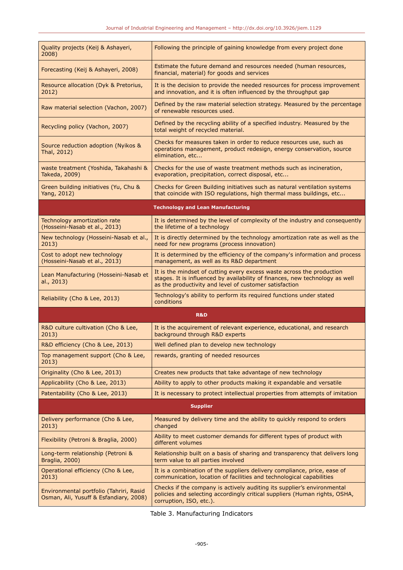| Quality projects (Keij & Ashayeri,<br>2008)                                       | Following the principle of gaining knowledge from every project done                                                                                                                                            |
|-----------------------------------------------------------------------------------|-----------------------------------------------------------------------------------------------------------------------------------------------------------------------------------------------------------------|
| Forecasting (Keij & Ashayeri, 2008)                                               | Estimate the future demand and resources needed (human resources,<br>financial, material) for goods and services                                                                                                |
| Resource allocation (Dyk & Pretorius,<br>2012)                                    | It is the decision to provide the needed resources for process improvement<br>and innovation, and it is often influenced by the throughput gap                                                                  |
| Raw material selection (Vachon, 2007)                                             | Defined by the raw material selection strategy. Measured by the percentage<br>of renewable resources used.                                                                                                      |
| Recycling policy (Vachon, 2007)                                                   | Defined by the recycling ability of a specified industry. Measured by the<br>total weight of recycled material.                                                                                                 |
| Source reduction adoption (Nyikos &<br>Thal, 2012)                                | Checks for measures taken in order to reduce resources use, such as<br>operations management, product redesign, energy conservation, source<br>elimination, etc                                                 |
| waste treatment (Yoshida, Takahashi &<br>Takeda, 2009)                            | Checks for the use of waste treatment methods such as incineration,<br>evaporation, precipitation, correct disposal, etc                                                                                        |
| Green building initiatives (Yu, Chu &<br>Yang, 2012)                              | Checks for Green Building initiatives such as natural ventilation systems<br>that coincide with ISO regulations, high thermal mass buildings, etc                                                               |
|                                                                                   | <b>Technology and Lean Manufacturing</b>                                                                                                                                                                        |
| Technology amortization rate<br>(Hosseini-Nasab et al., 2013)                     | It is determined by the level of complexity of the industry and consequently<br>the lifetime of a technology                                                                                                    |
| New technology (Hosseini-Nasab et al.,<br>2013)                                   | It is directly determined by the technology amortization rate as well as the<br>need for new programs (process innovation)                                                                                      |
| Cost to adopt new technology<br>(Hosseini-Nasab et al., 2013)                     | It is determined by the efficiency of the company's information and process<br>management, as well as its R&D department                                                                                        |
| Lean Manufacturing (Hosseini-Nasab et<br>al., 2013)                               | It is the mindset of cutting every excess waste across the production<br>stages. It is influenced by availability of finances, new technology as well<br>as the productivity and level of customer satisfaction |
| Reliability (Cho & Lee, 2013)                                                     | Technology's ability to perform its required functions under stated<br>conditions                                                                                                                               |
|                                                                                   | <b>R&amp;D</b>                                                                                                                                                                                                  |
| R&D culture cultivation (Cho & Lee,<br>2013)                                      | It is the acquirement of relevant experience, educational, and research<br>background through R&D experts                                                                                                       |
| R&D efficiency (Cho & Lee, 2013)                                                  | Well defined plan to develop new technology                                                                                                                                                                     |
| Top management support (Cho & Lee,<br>2013)                                       | rewards, granting of needed resources                                                                                                                                                                           |
| Originality (Cho & Lee, 2013)                                                     | Creates new products that take advantage of new technology                                                                                                                                                      |
| Applicability (Cho & Lee, 2013)                                                   | Ability to apply to other products making it expandable and versatile                                                                                                                                           |
| Patentability (Cho & Lee, 2013)                                                   | It is necessary to protect intellectual properties from attempts of imitation                                                                                                                                   |
|                                                                                   | <b>Supplier</b>                                                                                                                                                                                                 |
| Delivery performance (Cho & Lee,<br>2013)                                         | Measured by delivery time and the ability to quickly respond to orders<br>changed                                                                                                                               |
| Flexibility (Petroni & Braglia, 2000)                                             | Ability to meet customer demands for different types of product with<br>different volumes                                                                                                                       |
| Long-term relationship (Petroni &<br>Braglia, 2000)                               | Relationship built on a basis of sharing and transparency that delivers long<br>term value to all parties involved                                                                                              |
| Operational efficiency (Cho & Lee,<br>2013)                                       | It is a combination of the suppliers delivery compliance, price, ease of<br>communication, location of facilities and technological capabilities                                                                |
| Environmental portfolio (Tahriri, Rasid<br>Osman, Ali, Yusuff & Esfandiary, 2008) | Checks if the company is actively auditing its supplier's environmental<br>policies and selecting accordingly critical suppliers (Human rights, OSHA,<br>corruption, ISO, etc.).                                |

Table 3. Manufacturing Indicators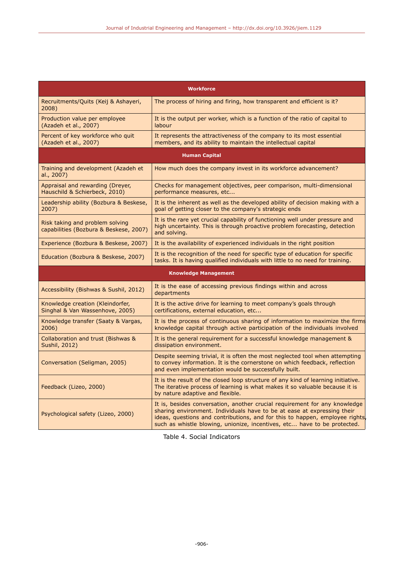| <b>Workforce</b>                                                          |                                                                                                                                                                                                                                                                                                                   |  |  |
|---------------------------------------------------------------------------|-------------------------------------------------------------------------------------------------------------------------------------------------------------------------------------------------------------------------------------------------------------------------------------------------------------------|--|--|
| Recruitments/Quits (Keij & Ashayeri,<br>2008)                             | The process of hiring and firing, how transparent and efficient is it?                                                                                                                                                                                                                                            |  |  |
| Production value per employee<br>(Azadeh et al., 2007)                    | It is the output per worker, which is a function of the ratio of capital to<br>labour                                                                                                                                                                                                                             |  |  |
| Percent of key workforce who quit<br>(Azadeh et al., 2007)                | It represents the attractiveness of the company to its most essential<br>members, and its ability to maintain the intellectual capital                                                                                                                                                                            |  |  |
| <b>Human Capital</b>                                                      |                                                                                                                                                                                                                                                                                                                   |  |  |
| Training and development (Azadeh et<br>al., 2007)                         | How much does the company invest in its workforce advancement?                                                                                                                                                                                                                                                    |  |  |
| Appraisal and rewarding (Dreyer,<br>Hauschild & Schierbeck, 2010)         | Checks for management objectives, peer comparison, multi-dimensional<br>performance measures, etc                                                                                                                                                                                                                 |  |  |
| Leadership ability (Bozbura & Beskese,<br>2007)                           | It is the inherent as well as the developed ability of decision making with a<br>goal of getting closer to the company's strategic ends                                                                                                                                                                           |  |  |
| Risk taking and problem solving<br>capabilities (Bozbura & Beskese, 2007) | It is the rare yet crucial capability of functioning well under pressure and<br>high uncertainty. This is through proactive problem forecasting, detection<br>and solving.                                                                                                                                        |  |  |
| Experience (Bozbura & Beskese, 2007)                                      | It is the availability of experienced individuals in the right position                                                                                                                                                                                                                                           |  |  |
| Education (Bozbura & Beskese, 2007)                                       | It is the recognition of the need for specific type of education for specific<br>tasks. It is having qualified individuals with little to no need for training.                                                                                                                                                   |  |  |
|                                                                           | <b>Knowledge Management</b>                                                                                                                                                                                                                                                                                       |  |  |
| Accessibility (Bishwas & Sushil, 2012)                                    | It is the ease of accessing previous findings within and across<br>departments                                                                                                                                                                                                                                    |  |  |
| Knowledge creation (Kleindorfer,<br>Singhal & Van Wassenhove, 2005)       | It is the active drive for learning to meet company's goals through<br>certifications, external education, etc                                                                                                                                                                                                    |  |  |
| Knowledge transfer (Saaty & Vargas,<br>2006)                              | It is the process of continuous sharing of information to maximize the firms<br>knowledge capital through active participation of the individuals involved                                                                                                                                                        |  |  |
| Collaboration and trust (Bishwas &<br><b>Sushil, 2012)</b>                | It is the general requirement for a successful knowledge management &<br>dissipation environment.                                                                                                                                                                                                                 |  |  |
| Conversation (Seligman, 2005)                                             | Despite seeming trivial, it is often the most neglected tool when attempting<br>to convey information. It is the cornerstone on which feedback, reflection<br>and even implementation would be successfully built.                                                                                                |  |  |
| Feedback (Lizeo, 2000)                                                    | It is the result of the closed loop structure of any kind of learning initiative.<br>The iterative process of learning is what makes it so valuable because it is<br>by nature adaptive and flexible.                                                                                                             |  |  |
| Psychological safety (Lizeo, 2000)                                        | It is, besides conversation, another crucial requirement for any knowledge<br>sharing environment. Individuals have to be at ease at expressing their<br>ideas, questions and contributions, and for this to happen, employee rights,<br>such as whistle blowing, unionize, incentives, etc have to be protected. |  |  |

Table 4. Social Indicators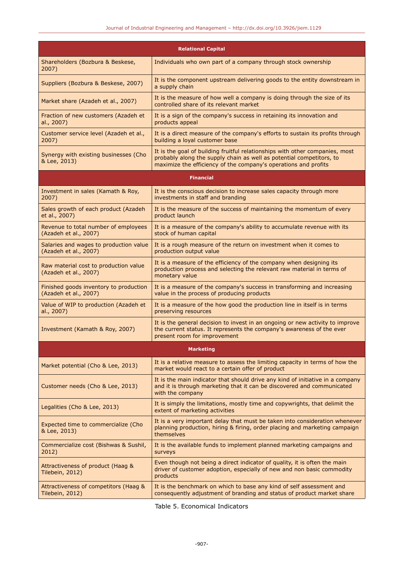| <b>Relational Capital</b>                                       |                                                                                                                                                                                                                         |  |
|-----------------------------------------------------------------|-------------------------------------------------------------------------------------------------------------------------------------------------------------------------------------------------------------------------|--|
| Shareholders (Bozbura & Beskese,<br>2007)                       | Individuals who own part of a company through stock ownership                                                                                                                                                           |  |
| Suppliers (Bozbura & Beskese, 2007)                             | It is the component upstream delivering goods to the entity downstream in<br>a supply chain                                                                                                                             |  |
| Market share (Azadeh et al., 2007)                              | It is the measure of how well a company is doing through the size of its<br>controlled share of its relevant market                                                                                                     |  |
| Fraction of new customers (Azadeh et<br>al., 2007)              | It is a sign of the company's success in retaining its innovation and<br>products appeal                                                                                                                                |  |
| Customer service level (Azadeh et al.,<br>2007)                 | It is a direct measure of the company's efforts to sustain its profits through<br>building a loyal customer base                                                                                                        |  |
| Synergy with existing businesses (Cho<br>& Lee, 2013)           | It is the goal of building fruitful relationships with other companies, most<br>probably along the supply chain as well as potential competitors, to<br>maximize the efficiency of the company's operations and profits |  |
|                                                                 | <b>Financial</b>                                                                                                                                                                                                        |  |
| Investment in sales (Kamath & Roy,<br>2007)                     | It is the conscious decision to increase sales capacity through more<br>investments in staff and branding                                                                                                               |  |
| Sales growth of each product (Azadeh<br>et al., 2007)           | It is the measure of the success of maintaining the momentum of every<br>product launch                                                                                                                                 |  |
| Revenue to total number of employees<br>(Azadeh et al., 2007)   | It is a measure of the company's ability to accumulate revenue with its<br>stock of human capital                                                                                                                       |  |
| Salaries and wages to production value<br>(Azadeh et al., 2007) | It is a rough measure of the return on investment when it comes to<br>production output value                                                                                                                           |  |
| Raw material cost to production value<br>(Azadeh et al., 2007)  | It is a measure of the efficiency of the company when designing its<br>production process and selecting the relevant raw material in terms of<br>monetary value                                                         |  |
| Finished goods inventory to production<br>(Azadeh et al., 2007) | It is a measure of the company's success in transforming and increasing<br>value in the process of producing products                                                                                                   |  |
| Value of WIP to production (Azadeh et<br>al., 2007)             | It is a measure of the how good the production line in itself is in terms<br>preserving resources                                                                                                                       |  |
| Investment (Kamath & Roy, 2007)                                 | It is the general decision to invest in an ongoing or new activity to improve<br>the current status. It represents the company's awareness of the ever<br>present room for improvement                                  |  |
|                                                                 | <b>Marketing</b>                                                                                                                                                                                                        |  |
| Market potential (Cho & Lee, 2013)                              | It is a relative measure to assess the limiting capacity in terms of how the<br>market would react to a certain offer of product                                                                                        |  |
| Customer needs (Cho & Lee, 2013)                                | It is the main indicator that should drive any kind of initiative in a company<br>and it is through marketing that it can be discovered and communicated<br>with the company                                            |  |
| Legalities (Cho & Lee, 2013)                                    | It is simply the limitations, mostly time and copywrights, that delimit the<br>extent of marketing activities                                                                                                           |  |
| Expected time to commercialize (Cho<br>& Lee, 2013)             | It is a very important delay that must be taken into consideration whenever<br>planning production, hiring & firing, order placing and marketing campaign<br>themselves                                                 |  |
| Commercialize cost (Bishwas & Sushil,<br>2012)                  | It is the available funds to implement planned marketing campaigns and<br>surveys                                                                                                                                       |  |
| Attractiveness of product (Haag &<br>Tilebein, 2012)            | Even though not being a direct indicator of quality, it is often the main<br>driver of customer adoption, especially of new and non basic commodity<br>products                                                         |  |
| Attractiveness of competitors (Haag &<br>Tilebein, 2012)        | It is the benchmark on which to base any kind of self assessment and<br>consequently adjustment of branding and status of product market share                                                                          |  |

Table 5. Economical Indicators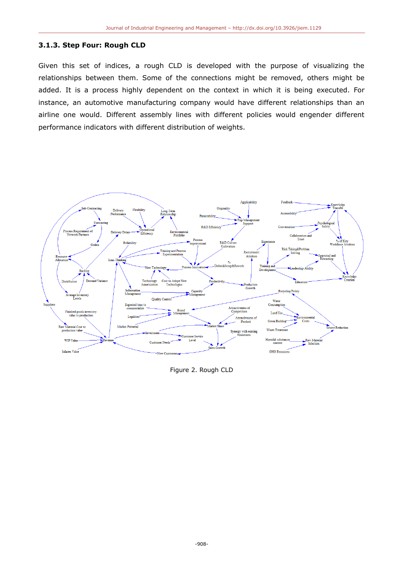#### **3.1.3. Step Four: Rough CLD**

Given this set of indices, a rough CLD is developed with the purpose of visualizing the relationships between them. Some of the connections might be removed, others might be added. It is a process highly dependent on the context in which it is being executed. For instance, an automotive manufacturing company would have different relationships than an airline one would. Different assembly lines with different policies would engender different performance indicators with different distribution of weights.



Figure 2. Rough CLD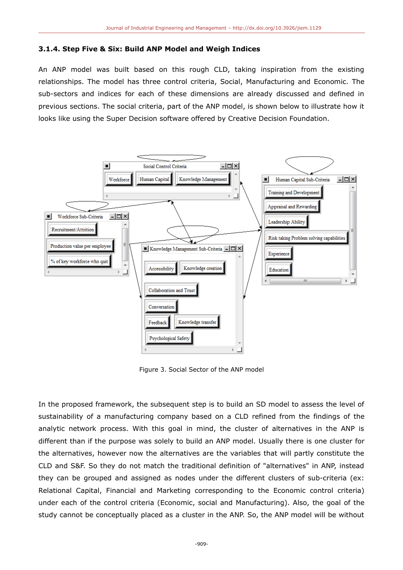#### **3.1.4. Step Five & Six: Build ANP Model and Weigh Indices**

An ANP model was built based on this rough CLD, taking inspiration from the existing relationships. The model has three control criteria, Social, Manufacturing and Economic. The sub-sectors and indices for each of these dimensions are already discussed and defined in previous sections. The social criteria, part of the ANP model, is shown below to illustrate how it looks like using the Super Decision software offered by Creative Decision Foundation.



Figure 3. Social Sector of the ANP model

In the proposed framework, the subsequent step is to build an SD model to assess the level of sustainability of a manufacturing company based on a CLD refined from the findings of the analytic network process. With this goal in mind, the cluster of alternatives in the ANP is different than if the purpose was solely to build an ANP model. Usually there is one cluster for the alternatives, however now the alternatives are the variables that will partly constitute the CLD and S&F. So they do not match the traditional definition of "alternatives" in ANP, instead they can be grouped and assigned as nodes under the different clusters of sub-criteria (ex: Relational Capital, Financial and Marketing corresponding to the Economic control criteria) under each of the control criteria (Economic, social and Manufacturing). Also, the goal of the study cannot be conceptually placed as a cluster in the ANP. So, the ANP model will be without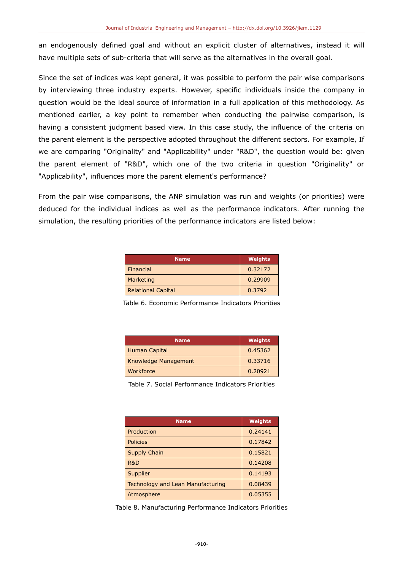an endogenously defined goal and without an explicit cluster of alternatives, instead it will have multiple sets of sub-criteria that will serve as the alternatives in the overall goal.

Since the set of indices was kept general, it was possible to perform the pair wise comparisons by interviewing three industry experts. However, specific individuals inside the company in question would be the ideal source of information in a full application of this methodology. As mentioned earlier, a key point to remember when conducting the pairwise comparison, is having a consistent judgment based view. In this case study, the influence of the criteria on the parent element is the perspective adopted throughout the different sectors. For example, If we are comparing "Originality" and "Applicability" under "R&D", the question would be: given the parent element of "R&D", which one of the two criteria in question "Originality" or "Applicability", influences more the parent element's performance?

From the pair wise comparisons, the ANP simulation was run and weights (or priorities) were deduced for the individual indices as well as the performance indicators. After running the simulation, the resulting priorities of the performance indicators are listed below:

| <b>Name</b>               | <b>Weights</b> |
|---------------------------|----------------|
| Financial                 | 0.32172        |
| Marketing                 | 0.29909        |
| <b>Relational Capital</b> | 0.3792         |

Table 6. Economic Performance Indicators Priorities

| <b>Name</b>          | <b>Weights</b> |
|----------------------|----------------|
| <b>Human Capital</b> | 0.45362        |
| Knowledge Management | 0.33716        |
| Workforce            | 0.20921        |

Table 7. Social Performance Indicators Priorities

| <b>Name</b>                       | <b>Weights</b> |
|-----------------------------------|----------------|
| Production                        | 0.24141        |
| <b>Policies</b>                   | 0.17842        |
| <b>Supply Chain</b>               | 0.15821        |
| R&D                               | 0.14208        |
| Supplier                          | 0.14193        |
| Technology and Lean Manufacturing | 0.08439        |
| Atmosphere                        | 0.05355        |

Table 8. Manufacturing Performance Indicators Priorities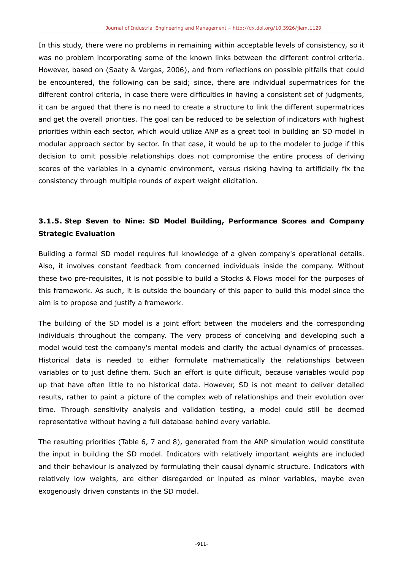In this study, there were no problems in remaining within acceptable levels of consistency, so it was no problem incorporating some of the known links between the different control criteria. However, based on (Saaty & Vargas, 2006), and from reflections on possible pitfalls that could be encountered, the following can be said; since, there are individual supermatrices for the different control criteria, in case there were difficulties in having a consistent set of judgments, it can be argued that there is no need to create a structure to link the different supermatrices and get the overall priorities. The goal can be reduced to be selection of indicators with highest priorities within each sector, which would utilize ANP as a great tool in building an SD model in modular approach sector by sector. In that case, it would be up to the modeler to judge if this decision to omit possible relationships does not compromise the entire process of deriving scores of the variables in a dynamic environment, versus risking having to artificially fix the consistency through multiple rounds of expert weight elicitation.

## **3.1.5. Step Seven to Nine: SD Model Building, Performance Scores and Company Strategic Evaluation**

Building a formal SD model requires full knowledge of a given company's operational details. Also, it involves constant feedback from concerned individuals inside the company. Without these two pre-requisites, it is not possible to build a Stocks & Flows model for the purposes of this framework. As such, it is outside the boundary of this paper to build this model since the aim is to propose and justify a framework.

The building of the SD model is a joint effort between the modelers and the corresponding individuals throughout the company. The very process of conceiving and developing such a model would test the company's mental models and clarify the actual dynamics of processes. Historical data is needed to either formulate mathematically the relationships between variables or to just define them. Such an effort is quite difficult, because variables would pop up that have often little to no historical data. However, SD is not meant to deliver detailed results, rather to paint a picture of the complex web of relationships and their evolution over time. Through sensitivity analysis and validation testing, a model could still be deemed representative without having a full database behind every variable.

The resulting priorities (Table 6, 7 and 8), generated from the ANP simulation would constitute the input in building the SD model. Indicators with relatively important weights are included and their behaviour is analyzed by formulating their causal dynamic structure. Indicators with relatively low weights, are either disregarded or inputed as minor variables, maybe even exogenously driven constants in the SD model.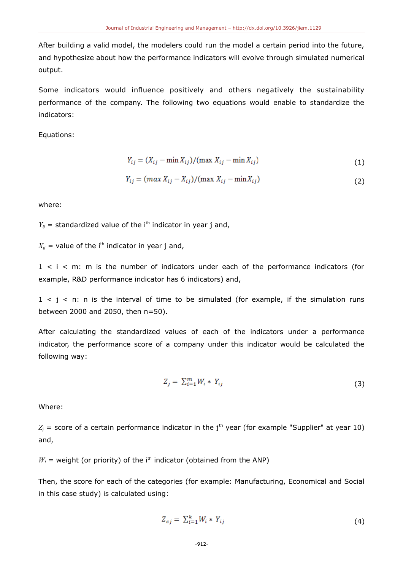After building a valid model, the modelers could run the model a certain period into the future, and hypothesize about how the performance indicators will evolve through simulated numerical output.

Some indicators would influence positively and others negatively the sustainability performance of the company. The following two equations would enable to standardize the indicators:

Equations:

$$
Y_{ij} = (X_{ij} - \min X_{ij})/(\max X_{ij} - \min X_{ij})
$$
\n<sup>(1)</sup>

$$
Y_{ij} = (max X_{ij} - X_{ij})/(max X_{ij} - min X_{ij})
$$
\n(2)

where:

 $Y_{ij}$  = standardized value of the i<sup>th</sup> indicator in year j and,

 $X_{ii}$  = value of the i<sup>th</sup> indicator in year j and,

 $1 < i < m$ : m is the number of indicators under each of the performance indicators (for example, R&D performance indicator has 6 indicators) and,

 $1 < j < n$ : n is the interval of time to be simulated (for example, if the simulation runs between 2000 and 2050, then n=50).

After calculating the standardized values of each of the indicators under a performance indicator, the performance score of a company under this indicator would be calculated the following way:

$$
Z_j = \sum_{i=1}^m W_i * Y_{ij} \tag{3}
$$

Where:

 $Z_i$  = score of a certain performance indicator in the j<sup>th</sup> year (for example "Supplier" at year 10) and,

 $W_i$  = weight (or priority) of the i<sup>th</sup> indicator (obtained from the ANP)

Then, the score for each of the categories (for example: Manufacturing, Economical and Social in this case study) is calculated using:

$$
Z_{cj} = \sum_{i=1}^{k} W_i * Y_{ij} \tag{4}
$$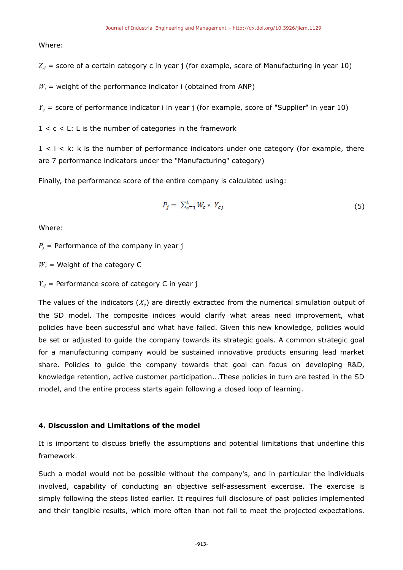Where:

 $Z_{cj}$  = score of a certain category c in year j (for example, score of Manufacturing in year 10)

 $W_i$  = weight of the performance indicator i (obtained from ANP)

 $Y_{ij}$  = score of performance indicator i in year j (for example, score of "Supplier" in year 10)

 $1 < c < L$ : L is the number of categories in the framework

1 < i < k: k is the number of performance indicators under one category (for example, there are 7 performance indicators under the "Manufacturing" category)

Finally, the performance score of the entire company is calculated using:

$$
P_j = \sum_{c=1}^{L} W_c * Y_{cj} \tag{5}
$$

Where:

 $P_i$  = Performance of the company in year j

 $W_c$  = Weight of the category C

 $Y_{cj}$  = Performance score of category C in year j

The values of the indicators (*Xij*) are directly extracted from the numerical simulation output of the SD model. The composite indices would clarify what areas need improvement, what policies have been successful and what have failed. Given this new knowledge, policies would be set or adjusted to guide the company towards its strategic goals. A common strategic goal for a manufacturing company would be sustained innovative products ensuring lead market share. Policies to guide the company towards that goal can focus on developing R&D, knowledge retention, active customer participation...These policies in turn are tested in the SD model, and the entire process starts again following a closed loop of learning.

### **4. Discussion and Limitations of the model**

It is important to discuss briefly the assumptions and potential limitations that underline this framework.

Such a model would not be possible without the company's, and in particular the individuals involved, capability of conducting an objective self-assessment excercise. The exercise is simply following the steps listed earlier. It requires full disclosure of past policies implemented and their tangible results, which more often than not fail to meet the projected expectations.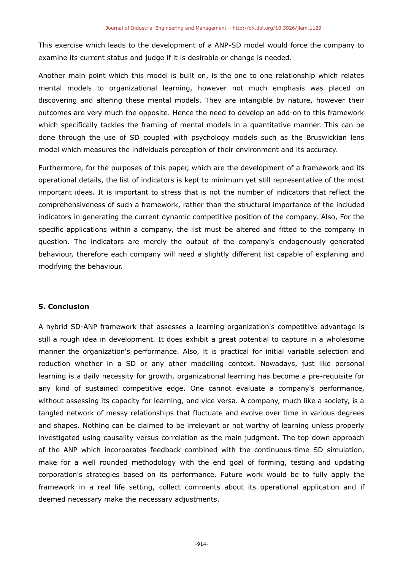This exercise which leads to the development of a ANP-SD model would force the company to examine its current status and judge if it is desirable or change is needed.

Another main point which this model is built on, is the one to one relationship which relates mental models to organizational learning, however not much emphasis was placed on discovering and altering these mental models. They are intangible by nature, however their outcomes are very much the opposite. Hence the need to develop an add-on to this framework which specifically tackles the framing of mental models in a quantitative manner. This can be done through the use of SD coupled with psychology models such as the Bruswickian lens model which measures the individuals perception of their environment and its accuracy.

Furthermore, for the purposes of this paper, which are the development of a framework and its operational details, the list of indicators is kept to minimum yet still representative of the most important ideas. It is important to stress that is not the number of indicators that reflect the comprehensiveness of such a framework, rather than the structural importance of the included indicators in generating the current dynamic competitive position of the company. Also, For the specific applications within a company, the list must be altered and fitted to the company in question. The indicators are merely the output of the company's endogenously generated behaviour, therefore each company will need a slightly different list capable of explaning and modifying the behaviour.

### **5. Conclusion**

A hybrid SD-ANP framework that assesses a learning organization's competitive advantage is still a rough idea in development. It does exhibit a great potential to capture in a wholesome manner the organization's performance. Also, it is practical for initial variable selection and reduction whether in a SD or any other modelling context. Nowadays, just like personal learning is a daily necessity for growth, organizational learning has become a pre-requisite for any kind of sustained competitive edge. One cannot evaluate a company's performance, without assessing its capacity for learning, and vice versa. A company, much like a society, is a tangled network of messy relationships that fluctuate and evolve over time in various degrees and shapes. Nothing can be claimed to be irrelevant or not worthy of learning unless properly investigated using causality versus correlation as the main judgment. The top down approach of the ANP which incorporates feedback combined with the continuous-time SD simulation, make for a well rounded methodology with the end goal of forming, testing and updating corporation's strategies based on its performance. Future work would be to fully apply the framework in a real life setting, collect comments about its operational application and if deemed necessary make the necessary adjustments.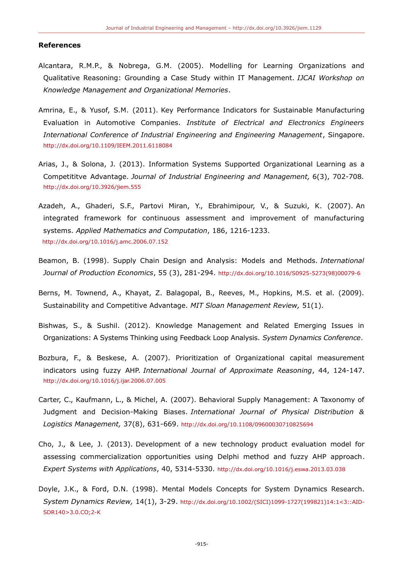#### **References**

- Alcantara, R.M.P., & Nobrega, G.M. (2005). Modelling for Learning Organizations and Qualitative Reasoning: Grounding a Case Study within IT Management. *IJCAI Workshop on Knowledge Management and Organizational Memories*.
- Amrina, E., & Yusof, S.M. (2011). Key Performance Indicators for Sustainable Manufacturing Evaluation in Automotive Companies. *Institute of Electrical and Electronics Engineers International Conference of Industrial Engineering and Engineering Management*, Singapore. <http://dx.doi.org/10.1109/IEEM.2011.6118084>
- Arias, J., & Solona, J. (2013). Information Systems Supported Organizational Learning as a Competititve Advantage. *Journal of Industrial Engineering and Management,* 6(3), 702-708*.* <http://dx.doi.org/10.3926/jiem.555>
- Azadeh, A., Ghaderi, S.F., Partovi Miran, Y., Ebrahimipour, V., & Suzuki, K. (2007). An integrated framework for continuous assessment and improvement of manufacturing systems. *Applied Mathematics and Computation*, 186, 1216-1233. <http://dx.doi.org/10.1016/j.amc.2006.07.152>
- Beamon, B. (1998). Supply Chain Design and Analysis: Models and Methods. *International Journal of Production Economics*, 55 (3), 281-294. [http://dx.doi.org/10.1016/S0925-5273\(98\)00079-6](http://dx.doi.org/10.1016/S0925-5273(98)00079-6)
- Berns, M. Townend, A., Khayat, Z. Balagopal, B., Reeves, M., Hopkins, M.S. et al. (2009). Sustainability and Competitive Advantage. *MIT Sloan Management Review,* 51(1).
- Bishwas, S., & Sushil. (2012). Knowledge Management and Related Emerging Issues in Organizations: A Systems Thinking using Feedback Loop Analysis. *System Dynamics Conference*.
- Bozbura, F., & Beskese, A. (2007). Prioritization of Organizational capital measurement indicators using fuzzy AHP. *International Journal of Approximate Reasoning*, 44, 124-147. <http://dx.doi.org/10.1016/j.ijar.2006.07.005>
- Carter, C., Kaufmann, L., & Michel, A. (2007). Behavioral Supply Management: A Taxonomy of Judgment and Decision-Making Biases. *International Journal of Physical Distribution & Logistics Management,* 37(8), 631-669. <http://dx.doi.org/10.1108/09600030710825694>
- Cho, J., & Lee, J. (2013). Development of a new technology product evaluation model for assessing commercialization opportunities using Delphi method and fuzzy AHP approach. *Expert Systems with Applications*, 40, 5314-5330. <http://dx.doi.org/10.1016/j.eswa.2013.03.038>
- Doyle, J.K., & Ford, D.N. (1998). Mental Models Concepts for System Dynamics Research. *System Dynamics Review,* 14(1), 3-29. [http://dx.doi.org/10.1002/\(SICI\)1099-1727\(199821\)14:1<3::AID-](http://dx.doi.org/10.1002/(SICI)1099-1727(199821)14:1%3C3::AID-SDR140%3E3.0.CO;2-K)[SDR140>3.0.CO;2-K](http://dx.doi.org/10.1002/(SICI)1099-1727(199821)14:1%3C3::AID-SDR140%3E3.0.CO;2-K)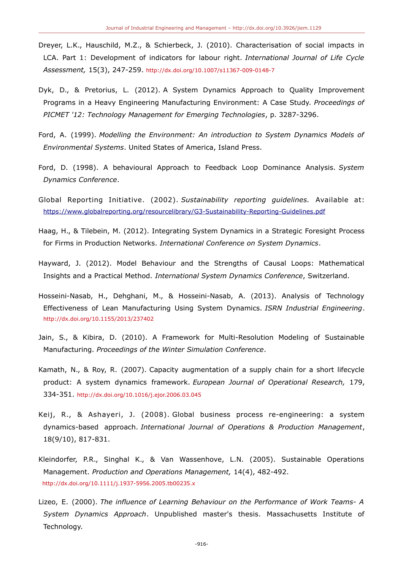- Dreyer, L.K., Hauschild, M.Z., & Schierbeck, J. (2010). Characterisation of social impacts in LCA. Part 1: Development of indicators for labour right. *International Journal of Life Cycle Assessment,* 15(3), 247-259. <http://dx.doi.org/10.1007/s11367-009-0148-7>
- Dyk, D., & Pretorius, L. (2012). A System Dynamics Approach to Quality Improvement Programs in a Heavy Engineering Manufacturing Environment: A Case Study. *Proceedings of PICMET '12: Technology Management for Emerging Technologies*, p. 3287-3296.
- Ford, A. (1999). *Modelling the Environment: An introduction to System Dynamics Models of Environmental Systems*. United States of America, Island Press.
- Ford, D. (1998). A behavioural Approach to Feedback Loop Dominance Analysis. *System Dynamics Conference*.
- Global Reporting Initiative. (2002). *Sustainability reporting guidelines.* Available at: <https://www.globalreporting.org/resourcelibrary/G3-Sustainability-Reporting-Guidelines.pdf>
- Haag, H., & Tilebein, M. (2012). Integrating System Dynamics in a Strategic Foresight Process for Firms in Production Networks. *International Conference on System Dynamics*.
- Hayward, J. (2012). Model Behaviour and the Strengths of Causal Loops: Mathematical Insights and a Practical Method. *International System Dynamics Conference*, Switzerland.
- Hosseini-Nasab, H., Dehghani, M., & Hosseini-Nasab, A. (2013). Analysis of Technology Effectiveness of Lean Manufacturing Using System Dynamics. *ISRN Industrial Engineering*. <http://dx.doi.org/10.1155/2013/237402>
- Jain, S., & Kibira, D. (2010). A Framework for Multi-Resolution Modeling of Sustainable Manufacturing. *Proceedings of the Winter Simulation Conference*.
- Kamath, N., & Roy, R. (2007). Capacity augmentation of a supply chain for a short lifecycle product: A system dynamics framework. *European Journal of Operational Research,* 179, 334-351. <http://dx.doi.org/10.1016/j.ejor.2006.03.045>
- Keij, R., & Ashayeri, J. (2008). Global business process re-engineering: a system dynamics-based approach. *International Journal of Operations & Production Management*, 18(9/10), 817-831.
- Kleindorfer, P.R., Singhal K., & Van Wassenhove, L.N. (2005). Sustainable Operations Management. *Production and Operations Management,* 14(4), 482-492. <http://dx.doi.org/10.1111/j.1937-5956.2005.tb00235.x>
- Lizeo, E. (2000). *The influence of Learning Behaviour on the Performance of Work Teams- A System Dynamics Approach*. Unpublished master's thesis. Massachusetts Institute of Technology.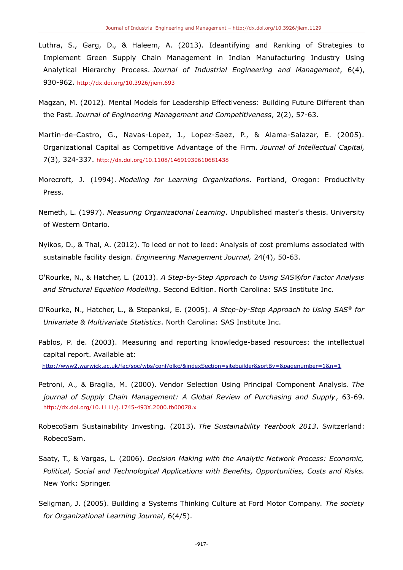- Luthra, S., Garg, D., & Haleem, A. (2013). Ideantifying and Ranking of Strategies to Implement Green Supply Chain Management in Indian Manufacturing Industry Using Analytical Hierarchy Process. *Journal of Industrial Engineering and Management*, 6(4), 930-962. <http://dx.doi.org/10.3926/jiem.693>
- Magzan, M. (2012). Mental Models for Leadership Effectiveness: Building Future Different than the Past. *Journal of Engineering Management and Competitiveness*, 2(2), 57-63.
- Martin-de-Castro, G., Navas-Lopez, J., Lopez-Saez, P., & Alama-Salazar, E. (2005). Organizational Capital as Competitive Advantage of the Firm. *Journal of Intellectual Capital,* 7(3), 324-337. <http://dx.doi.org/10.1108/14691930610681438>
- Morecroft, J. (1994). *Modeling for Learning Organizations*. Portland, Oregon: Productivity Press.
- Nemeth, L. (1997). *Measuring Organizational Learning*. Unpublished master's thesis. University of Western Ontario.
- Nyikos, D., & Thal, A. (2012). To leed or not to leed: Analysis of cost premiums associated with sustainable facility design. *Engineering Management Journal,* 24(4), 50-63.
- O'Rourke, N., & Hatcher, L. (2013). *A Step-by-Step Approach to Using SAS®for Factor Analysis and Structural Equation Modelling*. Second Edition. North Carolina: SAS Institute Inc.
- O'Rourke, N., Hatcher, L., & Stepanksi, E. (2005). *A Step-by-Step Approach to Using SAS® for Univariate & Multivariate Statistics*. North Carolina: SAS Institute Inc.
- Pablos, P. de. (2003). Measuring and reporting knowledge-based resources: the intellectual capital report. Available at: <http://www2.warwick.ac.uk/fac/soc/wbs/conf/olkc/&indexSection=sitebuilder&sortBy=&pagenumber=1&n=1>
- Petroni, A., & Braglia, M. (2000). Vendor Selection Using Principal Component Analysis. *The journal of Supply Chain Management: A Global Review of Purchasing and Supply*, 63-69. <http://dx.doi.org/10.1111/j.1745-493X.2000.tb00078.x>
- RobecoSam Sustainability Investing. (2013). *The Sustainability Yearbook 2013*. Switzerland: RobecoSam.
- Saaty, T., & Vargas, L. (2006). *Decision Making with the Analytic Network Process: Economic, Political, Social and Technological Applications with Benefits, Opportunities, Costs and Risks.* New York: Springer.
- Seligman, J. (2005). Building a Systems Thinking Culture at Ford Motor Company. *The society for Organizational Learning Journal*, 6(4/5).